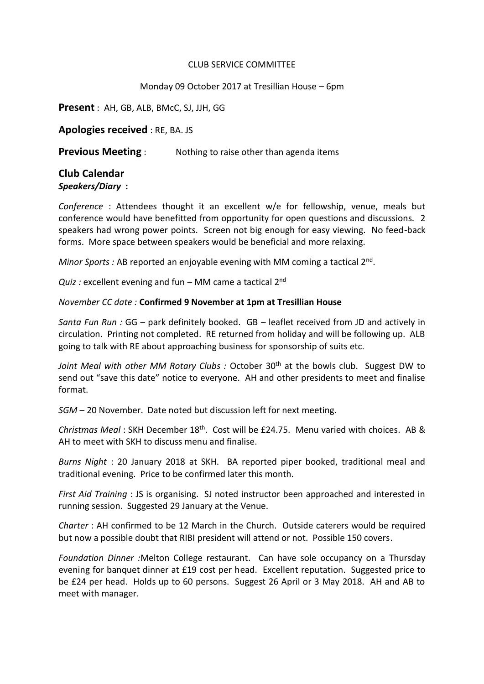## CLUB SERVICE COMMITTEE

## Monday 09 October 2017 at Tresillian House – 6pm

**Present** : AH, GB, ALB, BMcC, SJ, JJH, GG

**Apologies received** : RE, BA. JS

**Previous Meeting** : Nothing to raise other than agenda items

## **Club Calendar**

*Speakers/Diary* **:**

*Conference* : Attendees thought it an excellent w/e for fellowship, venue, meals but conference would have benefitted from opportunity for open questions and discussions. 2 speakers had wrong power points. Screen not big enough for easy viewing. No feed-back forms. More space between speakers would be beneficial and more relaxing.

Minor Sports : AB reported an enjoyable evening with MM coming a tactical 2<sup>nd</sup>.

*Quiz :* excellent evening and fun – MM came a tactical 2<sup>nd</sup>

## *November CC date :* **Confirmed 9 November at 1pm at Tresillian House**

*Santa Fun Run :* GG – park definitely booked. GB – leaflet received from JD and actively in circulation. Printing not completed. RE returned from holiday and will be following up. ALB going to talk with RE about approaching business for sponsorship of suits etc.

Joint Meal with other MM Rotary Clubs : October 30<sup>th</sup> at the bowls club. Suggest DW to send out "save this date" notice to everyone. AH and other presidents to meet and finalise format.

*SGM* – 20 November. Date noted but discussion left for next meeting.

*Christmas Meal* : SKH December 18th. Cost will be £24.75. Menu varied with choices. AB & AH to meet with SKH to discuss menu and finalise.

*Burns Night* : 20 January 2018 at SKH. BA reported piper booked, traditional meal and traditional evening. Price to be confirmed later this month.

*First Aid Training* : JS is organising. SJ noted instructor been approached and interested in running session. Suggested 29 January at the Venue.

*Charter* : AH confirmed to be 12 March in the Church. Outside caterers would be required but now a possible doubt that RIBI president will attend or not. Possible 150 covers.

*Foundation Dinner :*Melton College restaurant. Can have sole occupancy on a Thursday evening for banquet dinner at £19 cost per head. Excellent reputation. Suggested price to be £24 per head. Holds up to 60 persons. Suggest 26 April or 3 May 2018. AH and AB to meet with manager.